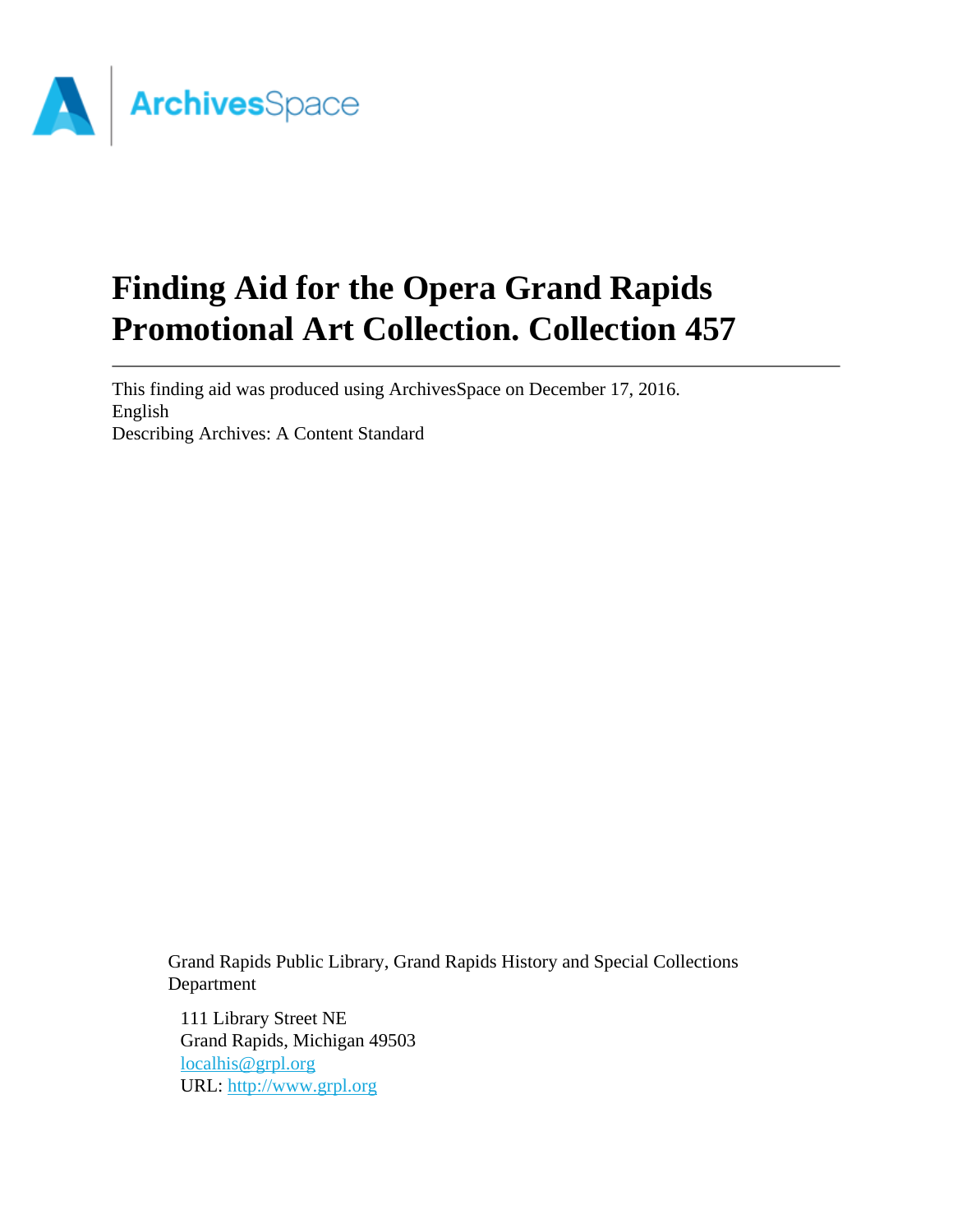

# **Finding Aid for the Opera Grand Rapids Promotional Art Collection. Collection 457**

This finding aid was produced using ArchivesSpace on December 17, 2016. English Describing Archives: A Content Standard

Grand Rapids Public Library, Grand Rapids History and Special Collections Department

111 Library Street NE Grand Rapids, Michigan 49503 [localhis@grpl.org](mailto:localhis@grpl.org) URL:<http://www.grpl.org>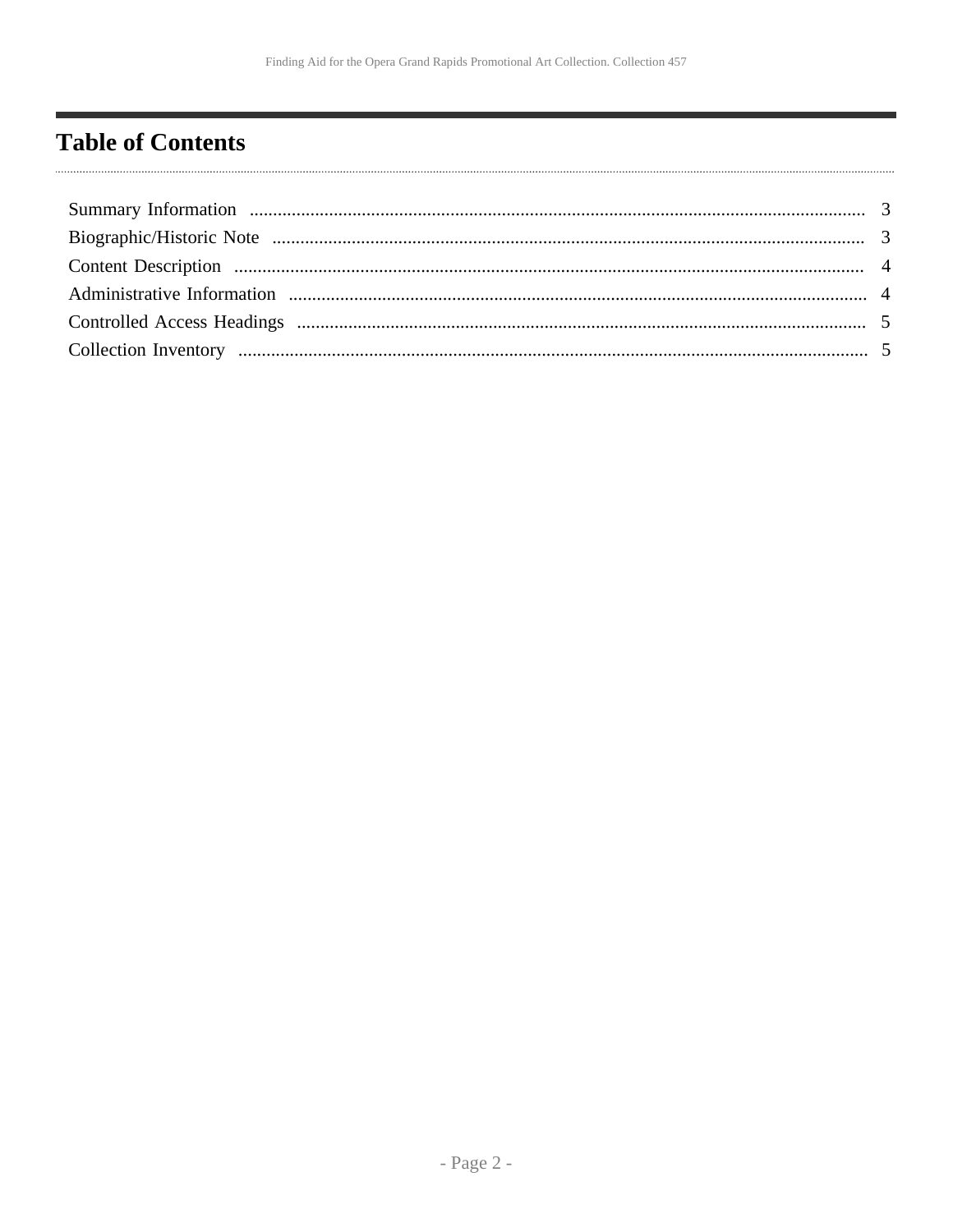## <span id="page-1-0"></span>**Table of Contents**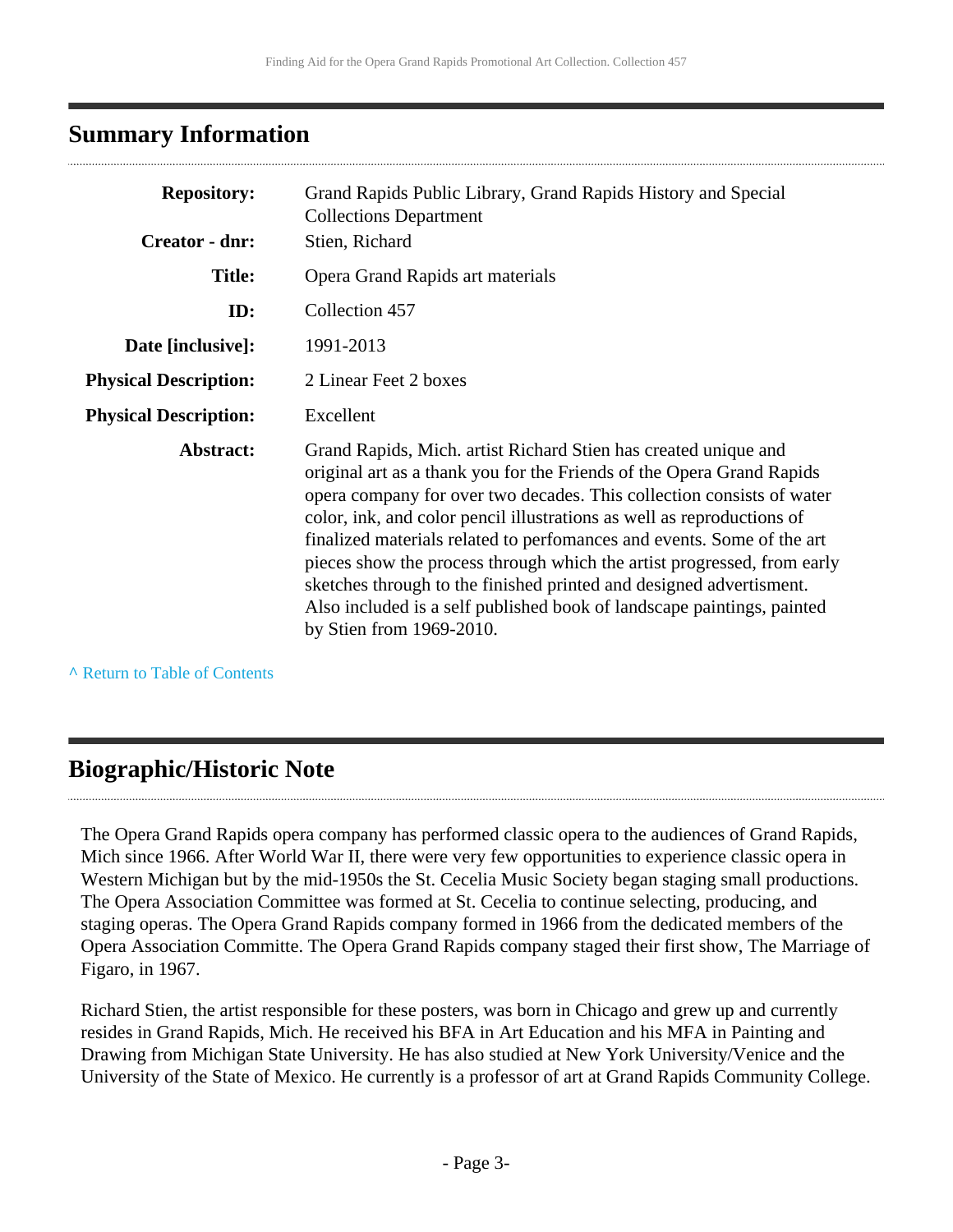### <span id="page-2-0"></span>**Summary Information**

| <b>Repository:</b>           | Grand Rapids Public Library, Grand Rapids History and Special<br><b>Collections Department</b>                                                                                                                                                                                                                                                                                                                                                                                                                                                                                                                                 |  |
|------------------------------|--------------------------------------------------------------------------------------------------------------------------------------------------------------------------------------------------------------------------------------------------------------------------------------------------------------------------------------------------------------------------------------------------------------------------------------------------------------------------------------------------------------------------------------------------------------------------------------------------------------------------------|--|
| Creator - dnr:               | Stien, Richard                                                                                                                                                                                                                                                                                                                                                                                                                                                                                                                                                                                                                 |  |
| <b>Title:</b>                | Opera Grand Rapids art materials                                                                                                                                                                                                                                                                                                                                                                                                                                                                                                                                                                                               |  |
| ID:                          | Collection 457                                                                                                                                                                                                                                                                                                                                                                                                                                                                                                                                                                                                                 |  |
| Date [inclusive]:            | 1991-2013                                                                                                                                                                                                                                                                                                                                                                                                                                                                                                                                                                                                                      |  |
| <b>Physical Description:</b> | 2 Linear Feet 2 boxes                                                                                                                                                                                                                                                                                                                                                                                                                                                                                                                                                                                                          |  |
| <b>Physical Description:</b> | Excellent                                                                                                                                                                                                                                                                                                                                                                                                                                                                                                                                                                                                                      |  |
| Abstract:                    | Grand Rapids, Mich. artist Richard Stien has created unique and<br>original art as a thank you for the Friends of the Opera Grand Rapids<br>opera company for over two decades. This collection consists of water<br>color, ink, and color pencil illustrations as well as reproductions of<br>finalized materials related to performances and events. Some of the art<br>pieces show the process through which the artist progressed, from early<br>sketches through to the finished printed and designed advertisment.<br>Also included is a self published book of landscape paintings, painted<br>by Stien from 1969-2010. |  |

**^** [Return to Table of Contents](#page-1-0)

## <span id="page-2-1"></span>**Biographic/Historic Note**

The Opera Grand Rapids opera company has performed classic opera to the audiences of Grand Rapids, Mich since 1966. After World War II, there were very few opportunities to experience classic opera in Western Michigan but by the mid-1950s the St. Cecelia Music Society began staging small productions. The Opera Association Committee was formed at St. Cecelia to continue selecting, producing, and staging operas. The Opera Grand Rapids company formed in 1966 from the dedicated members of the Opera Association Committe. The Opera Grand Rapids company staged their first show, The Marriage of Figaro, in 1967.

Richard Stien, the artist responsible for these posters, was born in Chicago and grew up and currently resides in Grand Rapids, Mich. He received his BFA in Art Education and his MFA in Painting and Drawing from Michigan State University. He has also studied at New York University/Venice and the University of the State of Mexico. He currently is a professor of art at Grand Rapids Community College.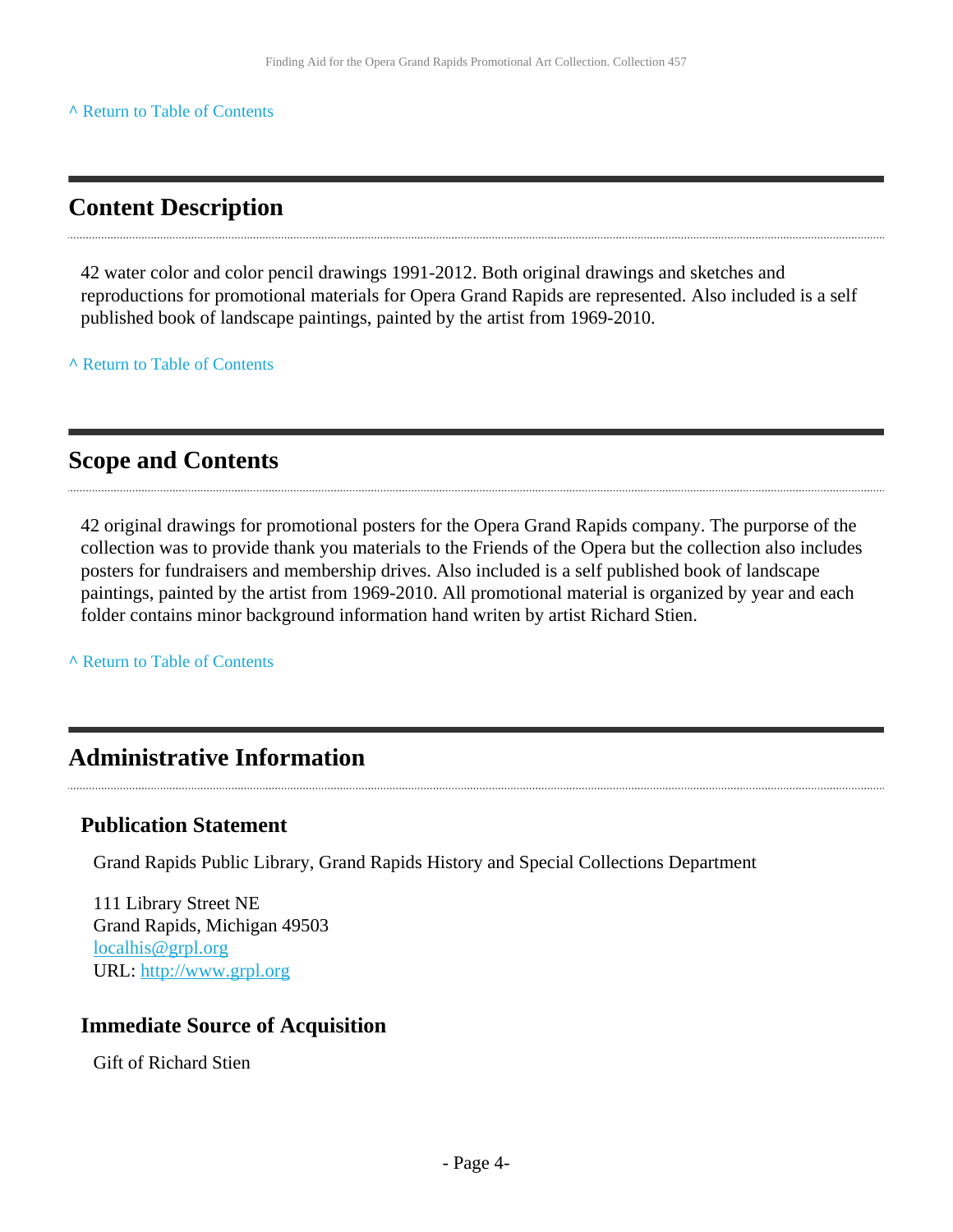#### **^** [Return to Table of Contents](#page-1-0)

## <span id="page-3-0"></span>**Content Description**

42 water color and color pencil drawings 1991-2012. Both original drawings and sketches and reproductions for promotional materials for Opera Grand Rapids are represented. Also included is a self published book of landscape paintings, painted by the artist from 1969-2010.

**^** [Return to Table of Contents](#page-1-0)

### **Scope and Contents**

42 original drawings for promotional posters for the Opera Grand Rapids company. The purporse of the collection was to provide thank you materials to the Friends of the Opera but the collection also includes posters for fundraisers and membership drives. Also included is a self published book of landscape paintings, painted by the artist from 1969-2010. All promotional material is organized by year and each folder contains minor background information hand writen by artist Richard Stien.

**^** [Return to Table of Contents](#page-1-0)

### <span id="page-3-1"></span>**Administrative Information**

#### **Publication Statement**

Grand Rapids Public Library, Grand Rapids History and Special Collections Department

111 Library Street NE Grand Rapids, Michigan 49503 [localhis@grpl.org](mailto:localhis@grpl.org) URL:<http://www.grpl.org>

#### **Immediate Source of Acquisition**

Gift of Richard Stien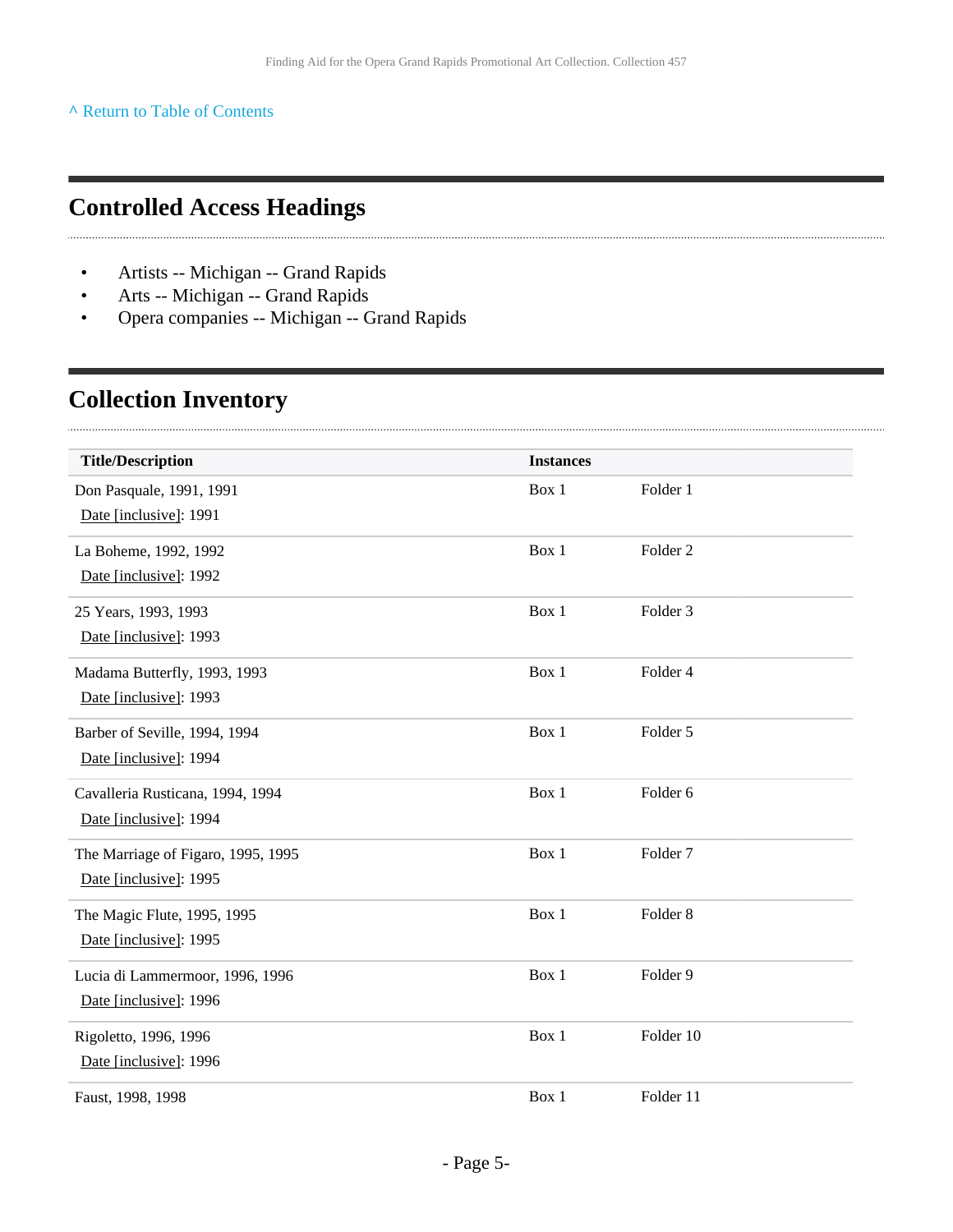#### **^** [Return to Table of Contents](#page-1-0)

## <span id="page-4-0"></span>**Controlled Access Headings**

- Artists -- Michigan -- Grand Rapids
- Arts -- Michigan -- Grand Rapids
- Opera companies -- Michigan -- Grand Rapids

## <span id="page-4-1"></span>**Collection Inventory**

 $\cdots$ 

| <b>Title/Description</b>           | <b>Instances</b> |                     |  |
|------------------------------------|------------------|---------------------|--|
| Don Pasquale, 1991, 1991           | Box 1            | Folder 1            |  |
| Date [inclusive]: 1991             |                  |                     |  |
| La Boheme, 1992, 1992              | Box 1            | Folder <sub>2</sub> |  |
| Date [inclusive]: 1992             |                  |                     |  |
| 25 Years, 1993, 1993               | Box 1            | Folder <sub>3</sub> |  |
| Date [inclusive]: 1993             |                  |                     |  |
| Madama Butterfly, 1993, 1993       | Box 1            | Folder 4            |  |
| Date [inclusive]: 1993             |                  |                     |  |
| Barber of Seville, 1994, 1994      | Box 1            | Folder 5            |  |
| Date [inclusive]: 1994             |                  |                     |  |
| Cavalleria Rusticana, 1994, 1994   | Box 1            | Folder 6            |  |
| Date [inclusive]: 1994             |                  |                     |  |
| The Marriage of Figaro, 1995, 1995 | Box 1            | Folder <sub>7</sub> |  |
| Date [inclusive]: 1995             |                  |                     |  |
| The Magic Flute, 1995, 1995        | Box 1            | Folder <sub>8</sub> |  |
| Date [inclusive]: 1995             |                  |                     |  |
| Lucia di Lammermoor, 1996, 1996    | Box 1            | Folder 9            |  |
| Date [inclusive]: 1996             |                  |                     |  |
| Rigoletto, 1996, 1996              | Box 1            | Folder 10           |  |
| Date [inclusive]: 1996             |                  |                     |  |
| Faust, 1998, 1998                  | Box 1            | Folder 11           |  |